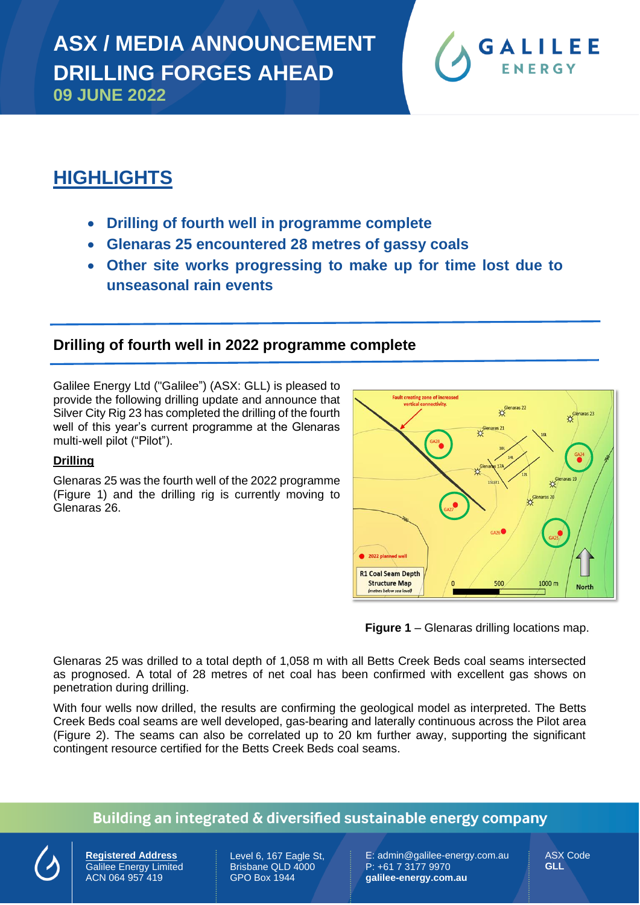

# **HIGHLIGHTS**

- **Drilling of fourth well in programme complete**
- **Glenaras 25 encountered 28 metres of gassy coals**
- **Other site works progressing to make up for time lost due to unseasonal rain events**

### **Drilling of fourth well in 2022 programme complete**

Galilee Energy Ltd ("Galilee") (ASX: GLL) is pleased to provide the following drilling update and announce that Silver City Rig 23 has completed the drilling of the fourth well of this year's current programme at the Glenaras multi-well pilot ("Pilot").

#### **Drilling**

Glenaras 25 was the fourth well of the 2022 programme (Figure 1) and the drilling rig is currently moving to Glenaras 26.





Glenaras 25 was drilled to a total depth of 1,058 m with all Betts Creek Beds coal seams intersected as prognosed. A total of 28 metres of net coal has been confirmed with excellent gas shows on penetration during drilling.

With four wells now drilled, the results are confirming the geological model as interpreted. The Betts Creek Beds coal seams are well developed, gas-bearing and laterally continuous across the Pilot area (Figure 2). The seams can also be correlated up to 20 km further away, supporting the significant contingent resource certified for the Betts Creek Beds coal seams.

### Building an integrated & diversified sustainable energy company

**Registered Address** Galilee Energy Limited ACN 064 957 419

Level 6, 167 Eagle St, Brisbane QLD 4000 GPO Box 1944

E: admin@galilee-energy.com.au P: +61 7 3177 9970 **galilee-energy.com.au**

ASX Code **GLL**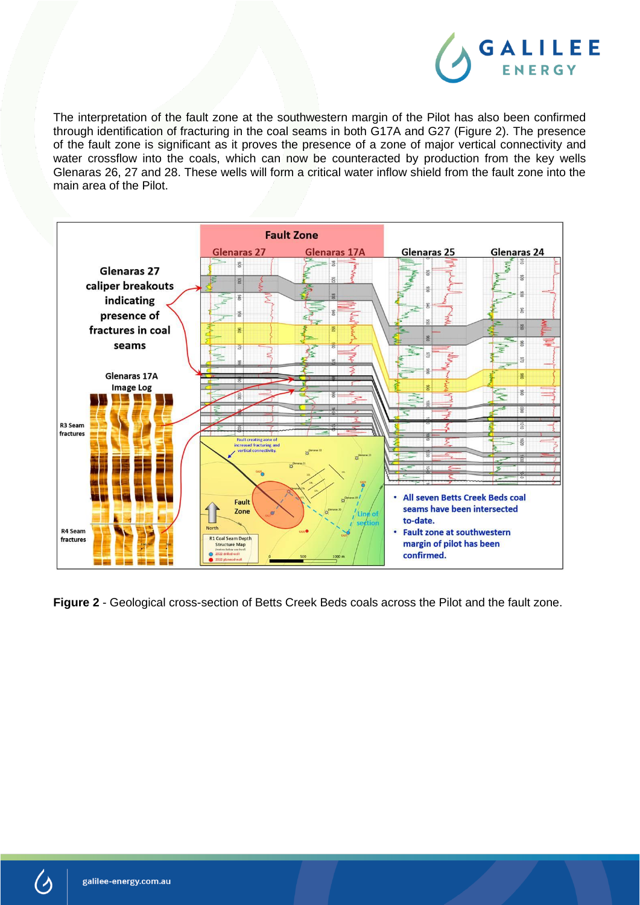

The interpretation of the fault zone at the southwestern margin of the Pilot has also been confirmed through identification of fracturing in the coal seams in both G17A and G27 (Figure 2). The presence of the fault zone is significant as it proves the presence of a zone of major vertical connectivity and water crossflow into the coals, which can now be counteracted by production from the key wells Glenaras 26, 27 and 28. These wells will form a critical water inflow shield from the fault zone into the main area of the Pilot.



**Figure 2** - Geological cross-section of Betts Creek Beds coals across the Pilot and the fault zone.